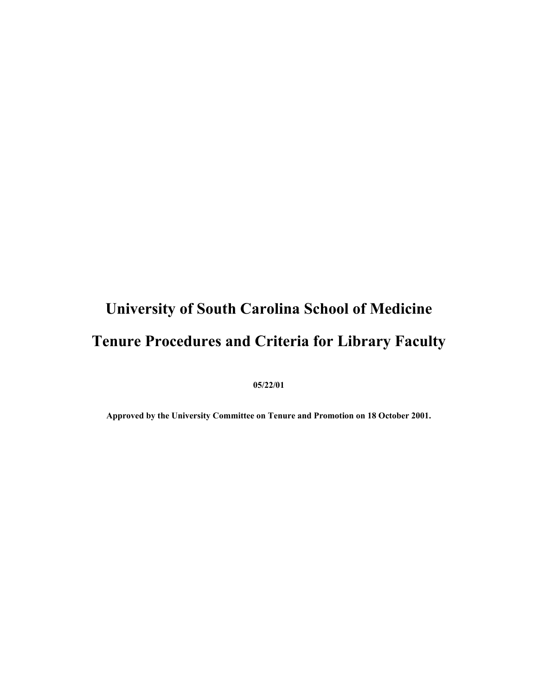# **University of South Carolina School of Medicine Tenure Procedures and Criteria for Library Faculty**

**05/22/01** 

**Approved by the University Committee on Tenure and Promotion on 18 October 2001.**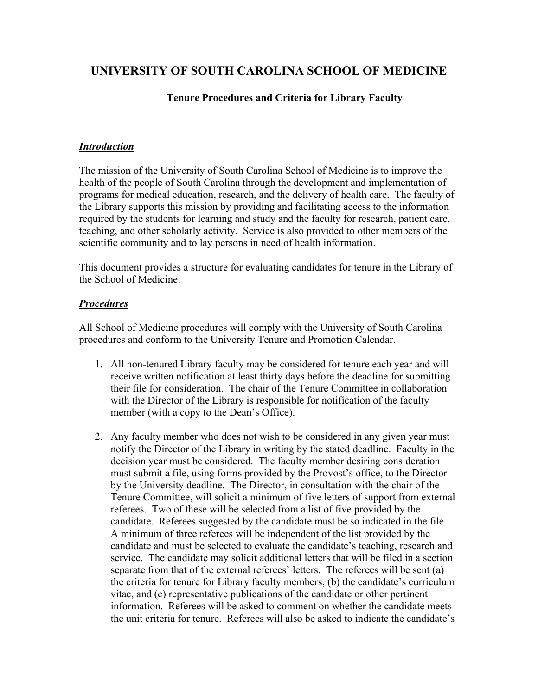# **UNIVERSITY OF SOUTH CAROLINA SCHOOL OF MEDICINE**

#### **Tenure Procedures and Criteria for Library Faculty**

#### *Introduction*

The mission of the University of South Carolina School of Medicine is to improve the health of the people of South Carolina through the development and implementation of programs for medical education, research, and the delivery of health care. The faculty of the Library supports this mission by providing and facilitating access to the information required by the students for learning and study and the faculty for research, patient care, teaching, and other scholarly activity. Service is also provided to other members of the scientific community and to lay persons in need of health information.

This document provides a structure for evaluating candidates for tenure in the Library of the School of Medicine.

#### *Procedures*

All School of Medicine procedures will comply with the University of South Carolina procedures and conform to the University Tenure and Promotion Calendar.

- 1. All non-tenured Library faculty may be considered for tenure each year and will receive written notification at least thirty days before the deadline for submitting their file for consideration. The chair of the Tenure Committee in collaboration with the Director of the Library is responsible for notification of the faculty member (with a copy to the Dean's Office).
- 2. Any faculty member who does not wish to be considered in any given year must notify the Director of the Library in writing by the stated deadline. Faculty in the decision year must be considered. The faculty member desiring consideration must submit a file, using forms provided by the Provost's office, to the Director by the University deadline. The Director, in consultation with the chair of the Tenure Committee, will solicit a minimum of five letters of support from external referees. Two of these will be selected from a list of five provided by the candidate. Referees suggested by the candidate must be so indicated in the file. A minimum of three referees will be independent of the list provided by the candidate and must be selected to evaluate the candidate's teaching, research and service. The candidate may solicit additional letters that will be filed in a section separate from that of the external referees' letters. The referees will be sent (a) the criteria for tenure for Library faculty members, (b) the candidate's curriculum vitae, and (c) representative publications of the candidate or other pertinent information. Referees will be asked to comment on whether the candidate meets the unit criteria for tenure. Referees will also be asked to indicate the candidate's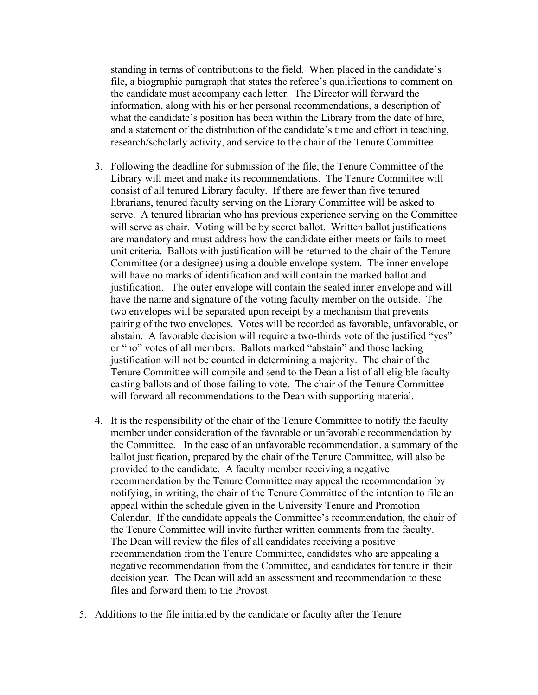standing in terms of contributions to the field. When placed in the candidate's file, a biographic paragraph that states the referee's qualifications to comment on the candidate must accompany each letter. The Director will forward the information, along with his or her personal recommendations, a description of what the candidate's position has been within the Library from the date of hire, and a statement of the distribution of the candidate's time and effort in teaching, research/scholarly activity, and service to the chair of the Tenure Committee.

- 3. Following the deadline for submission of the file, the Tenure Committee of the Library will meet and make its recommendations. The Tenure Committee will consist of all tenured Library faculty. If there are fewer than five tenured librarians, tenured faculty serving on the Library Committee will be asked to serve. A tenured librarian who has previous experience serving on the Committee will serve as chair. Voting will be by secret ballot. Written ballot justifications are mandatory and must address how the candidate either meets or fails to meet unit criteria. Ballots with justification will be returned to the chair of the Tenure Committee (or a designee) using a double envelope system. The inner envelope will have no marks of identification and will contain the marked ballot and justification. The outer envelope will contain the sealed inner envelope and will have the name and signature of the voting faculty member on the outside. The two envelopes will be separated upon receipt by a mechanism that prevents pairing of the two envelopes. Votes will be recorded as favorable, unfavorable, or abstain. A favorable decision will require a two-thirds vote of the justified "yes" or "no" votes of all members. Ballots marked "abstain" and those lacking justification will not be counted in determining a majority. The chair of the Tenure Committee will compile and send to the Dean a list of all eligible faculty casting ballots and of those failing to vote. The chair of the Tenure Committee will forward all recommendations to the Dean with supporting material.
- 4. It is the responsibility of the chair of the Tenure Committee to notify the faculty member under consideration of the favorable or unfavorable recommendation by the Committee. In the case of an unfavorable recommendation, a summary of the ballot justification, prepared by the chair of the Tenure Committee, will also be provided to the candidate. A faculty member receiving a negative recommendation by the Tenure Committee may appeal the recommendation by notifying, in writing, the chair of the Tenure Committee of the intention to file an appeal within the schedule given in the University Tenure and Promotion Calendar. If the candidate appeals the Committee's recommendation, the chair of the Tenure Committee will invite further written comments from the faculty. The Dean will review the files of all candidates receiving a positive recommendation from the Tenure Committee, candidates who are appealing a negative recommendation from the Committee, and candidates for tenure in their decision year. The Dean will add an assessment and recommendation to these files and forward them to the Provost.
- 5. Additions to the file initiated by the candidate or faculty after the Tenure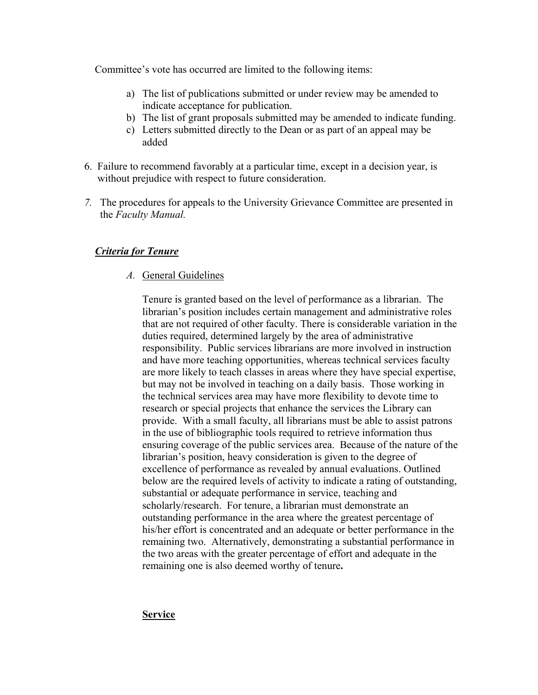Committee's vote has occurred are limited to the following items:

- a) The list of publications submitted or under review may be amended to indicate acceptance for publication.
- b) The list of grant proposals submitted may be amended to indicate funding.
- c) Letters submitted directly to the Dean or as part of an appeal may be added
- 6. Failure to recommend favorably at a particular time, except in a decision year, is without prejudice with respect to future consideration.
- *7.* The procedures for appeals to the University Grievance Committee are presented in the *Faculty Manual.*

## *Criteria for Tenure*

*A.* General Guidelines

Tenure is granted based on the level of performance as a librarian. The librarian's position includes certain management and administrative roles that are not required of other faculty. There is considerable variation in the duties required, determined largely by the area of administrative responsibility. Public services librarians are more involved in instruction and have more teaching opportunities, whereas technical services faculty are more likely to teach classes in areas where they have special expertise, but may not be involved in teaching on a daily basis. Those working in the technical services area may have more flexibility to devote time to research or special projects that enhance the services the Library can provide. With a small faculty, all librarians must be able to assist patrons in the use of bibliographic tools required to retrieve information thus ensuring coverage of the public services area. Because of the nature of the librarian's position, heavy consideration is given to the degree of excellence of performance as revealed by annual evaluations. Outlined below are the required levels of activity to indicate a rating of outstanding, substantial or adequate performance in service, teaching and scholarly/research. For tenure, a librarian must demonstrate an outstanding performance in the area where the greatest percentage of his/her effort is concentrated and an adequate or better performance in the remaining two. Alternatively, demonstrating a substantial performance in the two areas with the greater percentage of effort and adequate in the remaining one is also deemed worthy of tenure**.** 

**Service**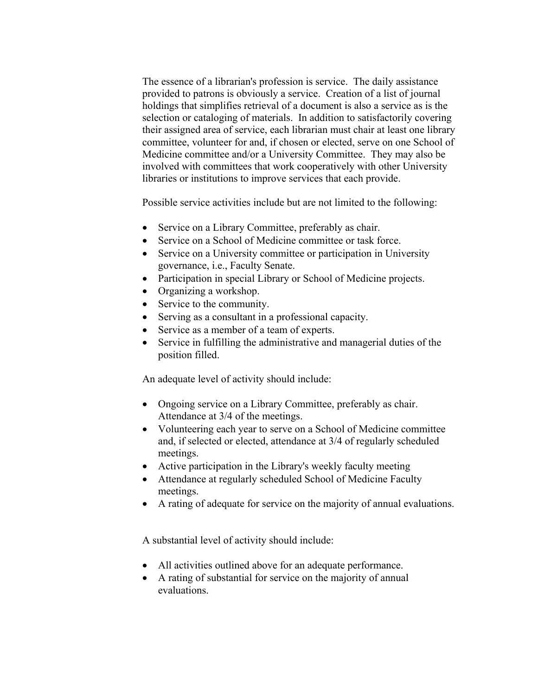The essence of a librarian's profession is service. The daily assistance provided to patrons is obviously a service. Creation of a list of journal holdings that simplifies retrieval of a document is also a service as is the selection or cataloging of materials. In addition to satisfactorily covering their assigned area of service, each librarian must chair at least one library committee, volunteer for and, if chosen or elected, serve on one School of Medicine committee and/or a University Committee. They may also be involved with committees that work cooperatively with other University libraries or institutions to improve services that each provide.

Possible service activities include but are not limited to the following:

- Service on a Library Committee, preferably as chair.
- Service on a School of Medicine committee or task force.
- Service on a University committee or participation in University governance, i.e., Faculty Senate.
- Participation in special Library or School of Medicine projects.
- Organizing a workshop.
- Service to the community.
- Serving as a consultant in a professional capacity.
- Service as a member of a team of experts.
- Service in fulfilling the administrative and managerial duties of the position filled.

An adequate level of activity should include:

- Ongoing service on a Library Committee, preferably as chair. Attendance at 3/4 of the meetings.
- Volunteering each year to serve on a School of Medicine committee and, if selected or elected, attendance at 3/4 of regularly scheduled meetings.
- Active participation in the Library's weekly faculty meeting
- Attendance at regularly scheduled School of Medicine Faculty meetings.
- A rating of adequate for service on the majority of annual evaluations.

A substantial level of activity should include:

- All activities outlined above for an adequate performance.
- A rating of substantial for service on the majority of annual evaluations.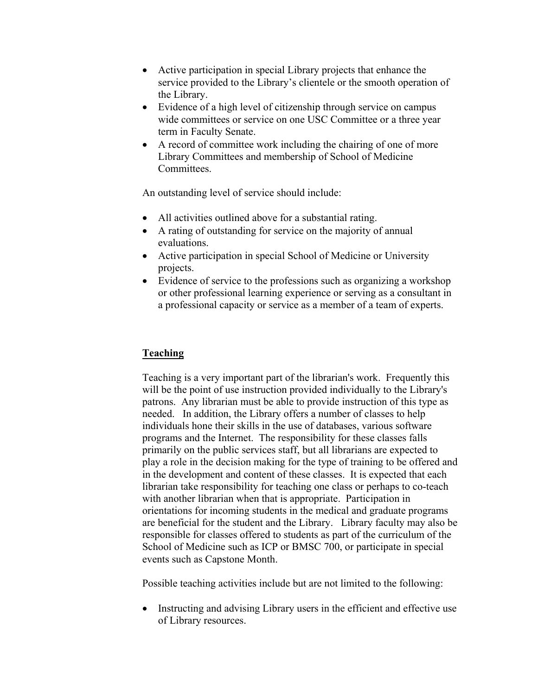- Active participation in special Library projects that enhance the service provided to the Library's clientele or the smooth operation of the Library.
- Evidence of a high level of citizenship through service on campus wide committees or service on one USC Committee or a three year term in Faculty Senate.
- A record of committee work including the chairing of one of more Library Committees and membership of School of Medicine **Committees**

An outstanding level of service should include:

- All activities outlined above for a substantial rating.
- A rating of outstanding for service on the majority of annual evaluations.
- Active participation in special School of Medicine or University projects.
- Evidence of service to the professions such as organizing a workshop or other professional learning experience or serving as a consultant in a professional capacity or service as a member of a team of experts.

### **Teaching**

Teaching is a very important part of the librarian's work. Frequently this will be the point of use instruction provided individually to the Library's patrons. Any librarian must be able to provide instruction of this type as needed. In addition, the Library offers a number of classes to help individuals hone their skills in the use of databases, various software programs and the Internet. The responsibility for these classes falls primarily on the public services staff, but all librarians are expected to play a role in the decision making for the type of training to be offered and in the development and content of these classes. It is expected that each librarian take responsibility for teaching one class or perhaps to co-teach with another librarian when that is appropriate. Participation in orientations for incoming students in the medical and graduate programs are beneficial for the student and the Library. Library faculty may also be responsible for classes offered to students as part of the curriculum of the School of Medicine such as ICP or BMSC 700, or participate in special events such as Capstone Month.

Possible teaching activities include but are not limited to the following:

• Instructing and advising Library users in the efficient and effective use of Library resources.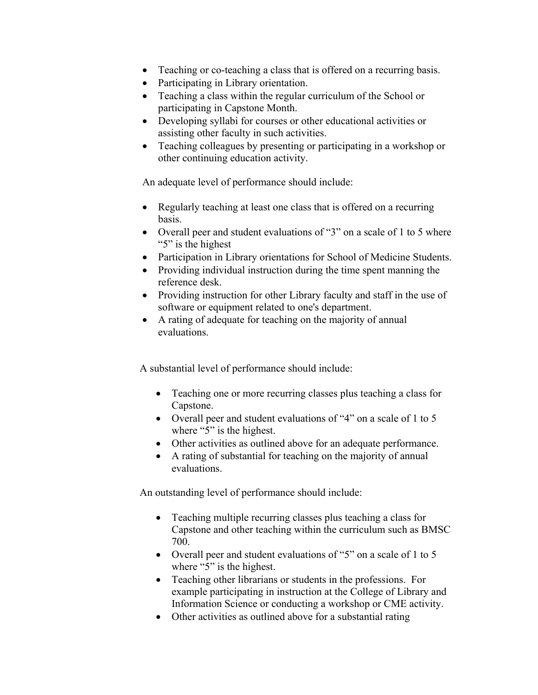- Teaching or co-teaching a class that is offered on a recurring basis.
- Participating in Library orientation.
- Teaching a class within the regular curriculum of the School or participating in Capstone Month.
- Developing syllabi for courses or other educational activities or assisting other faculty in such activities.
- Teaching colleagues by presenting or participating in a workshop or other continuing education activity.

An adequate level of performance should include:

- Regularly teaching at least one class that is offered on a recurring basis.
- Overall peer and student evaluations of "3" on a scale of 1 to 5 where "5" is the highest
- Participation in Library orientations for School of Medicine Students.
- Providing individual instruction during the time spent manning the reference desk.
- Providing instruction for other Library faculty and staff in the use of software or equipment related to one's department.
- A rating of adequate for teaching on the majority of annual evaluations.

A substantial level of performance should include:

- Teaching one or more recurring classes plus teaching a class for Capstone.
- Overall peer and student evaluations of "4" on a scale of 1 to 5 where "5" is the highest.
- Other activities as outlined above for an adequate performance.
- A rating of substantial for teaching on the majority of annual evaluations.

An outstanding level of performance should include:

- Teaching multiple recurring classes plus teaching a class for Capstone and other teaching within the curriculum such as BMSC 700.
- Overall peer and student evaluations of "5" on a scale of 1 to 5 where "5" is the highest.
- Teaching other librarians or students in the professions. For example participating in instruction at the College of Library and Information Science or conducting a workshop or CME activity.
- Other activities as outlined above for a substantial rating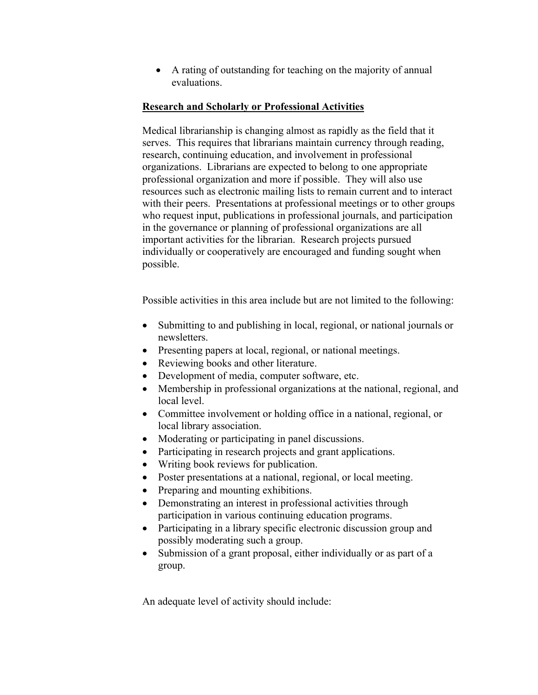• A rating of outstanding for teaching on the majority of annual evaluations.

#### **Research and Scholarly or Professional Activities**

Medical librarianship is changing almost as rapidly as the field that it serves. This requires that librarians maintain currency through reading, research, continuing education, and involvement in professional organizations. Librarians are expected to belong to one appropriate professional organization and more if possible. They will also use resources such as electronic mailing lists to remain current and to interact with their peers. Presentations at professional meetings or to other groups who request input, publications in professional journals, and participation in the governance or planning of professional organizations are all important activities for the librarian. Research projects pursued individually or cooperatively are encouraged and funding sought when possible.

Possible activities in this area include but are not limited to the following:

- Submitting to and publishing in local, regional, or national journals or newsletters.
- Presenting papers at local, regional, or national meetings.
- Reviewing books and other literature.
- Development of media, computer software, etc.
- Membership in professional organizations at the national, regional, and local level.
- Committee involvement or holding office in a national, regional, or local library association.
- Moderating or participating in panel discussions.
- Participating in research projects and grant applications.
- Writing book reviews for publication.
- Poster presentations at a national, regional, or local meeting.
- Preparing and mounting exhibitions.
- Demonstrating an interest in professional activities through participation in various continuing education programs.
- Participating in a library specific electronic discussion group and possibly moderating such a group.
- Submission of a grant proposal, either individually or as part of a group.

An adequate level of activity should include: